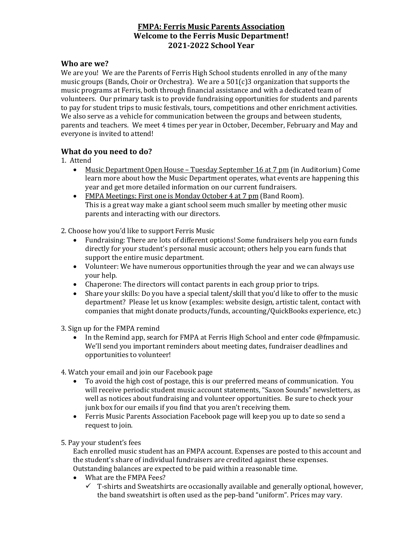## **FMPA: Ferris Music Parents Association Welcome to the Ferris Music Department! 2021-2022 School Year**

## **Who are we?**

We are you! We are the Parents of Ferris High School students enrolled in any of the many music groups (Bands, Choir or Orchestra). We are a  $501(c)3$  organization that supports the music programs at Ferris, both through financial assistance and with a dedicated team of volunteers. Our primary task is to provide fundraising opportunities for students and parents to pay for student trips to music festivals, tours, competitions and other enrichment activities. We also serve as a vehicle for communication between the groups and between students, parents and teachers. We meet 4 times per year in October, December, February and May and everyone is invited to attend!

## **What do you need to do?**

1. Attend

- Music Department Open House Tuesday September 16 at 7 pm (in Auditorium) Come learn more about how the Music Department operates, what events are happening this year and get more detailed information on our current fundraisers.
- FMPA Meetings: First one is Monday October 4 at 7 pm (Band Room). This is a great way make a giant school seem much smaller by meeting other music parents and interacting with our directors.

2. Choose how you'd like to support Ferris Music

- Fundraising: There are lots of different options! Some fundraisers help you earn funds directly for your student's personal music account; others help you earn funds that support the entire music department.
- Volunteer: We have numerous opportunities through the year and we can always use your help.
- Chaperone: The directors will contact parents in each group prior to trips.
- Share your skills: Do you have a special talent/skill that you'd like to offer to the music department? Please let us know (examples: website design, artistic talent, contact with companies that might donate products/funds, accounting/QuickBooks experience, etc.)

3. Sign up for the FMPA remind

- In the Remind app, search for FMPA at Ferris High School and enter code @fmpamusic. We'll send you important reminders about meeting dates, fundraiser deadlines and opportunities to volunteer!
- 4. Watch your email and join our Facebook page
	- To avoid the high cost of postage, this is our preferred means of communication. You will receive periodic student music account statements, "Saxon Sounds" newsletters, as well as notices about fundraising and volunteer opportunities. Be sure to check your junk box for our emails if you find that you aren't receiving them.
	- Ferris Music Parents Association Facebook page will keep you up to date so send a request to join.

5. Pay your student's fees

Each enrolled music student has an FMPA account. Expenses are posted to this account and the student's share of individual fundraisers are credited against these expenses. Outstanding balances are expected to be paid within a reasonable time.

- What are the FMPA Fees?
	- $\checkmark$  T-shirts and Sweatshirts are occasionally available and generally optional, however, the band sweatshirt is often used as the pep-band "uniform". Prices may vary.